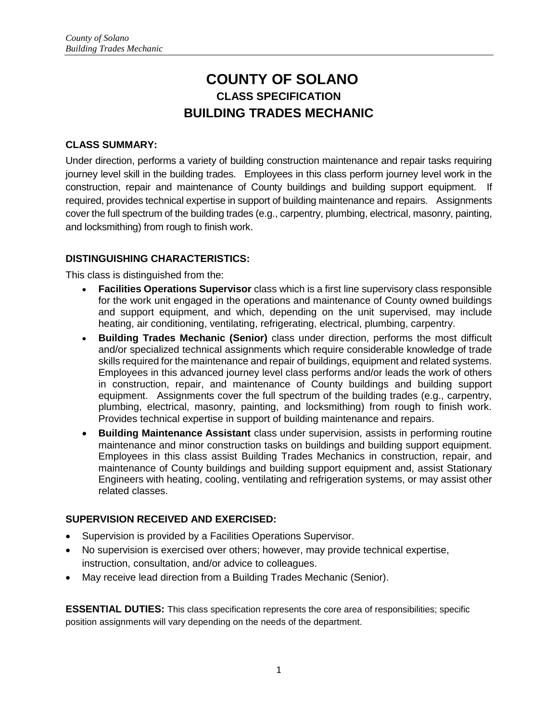# **COUNTY OF SOLANO CLASS SPECIFICATION BUILDING TRADES MECHANIC**

## **CLASS SUMMARY:**

Under direction, performs a variety of building construction maintenance and repair tasks requiring journey level skill in the building trades. Employees in this class perform journey level work in the construction, repair and maintenance of County buildings and building support equipment. If required, provides technical expertise in support of building maintenance and repairs. Assignments cover the full spectrum of the building trades (e.g., carpentry, plumbing, electrical, masonry, painting, and locksmithing) from rough to finish work.

# **DISTINGUISHING CHARACTERISTICS:**

This class is distinguished from the:

- **Facilities Operations Supervisor** class which is a first line supervisory class responsible for the work unit engaged in the operations and maintenance of County owned buildings and support equipment, and which, depending on the unit supervised, may include heating, air conditioning, ventilating, refrigerating, electrical, plumbing, carpentry.
- **Building Trades Mechanic (Senior)** class under direction, performs the most difficult and/or specialized technical assignments which require considerable knowledge of trade skills required for the maintenance and repair of buildings, equipment and related systems. Employees in this advanced journey level class performs and/or leads the work of others in construction, repair, and maintenance of County buildings and building support equipment. Assignments cover the full spectrum of the building trades (e.g., carpentry, plumbing, electrical, masonry, painting, and locksmithing) from rough to finish work. Provides technical expertise in support of building maintenance and repairs.
- **Building Maintenance Assistant** class under supervision, assists in performing routine maintenance and minor construction tasks on buildings and building support equipment. Employees in this class assist Building Trades Mechanics in construction, repair, and maintenance of County buildings and building support equipment and, assist Stationary Engineers with heating, cooling, ventilating and refrigeration systems, or may assist other related classes.

## **SUPERVISION RECEIVED AND EXERCISED:**

- Supervision is provided by a Facilities Operations Supervisor.
- No supervision is exercised over others; however, may provide technical expertise, instruction, consultation, and/or advice to colleagues.
- May receive lead direction from a Building Trades Mechanic (Senior).

**ESSENTIAL DUTIES:** This class specification represents the core area of responsibilities; specific position assignments will vary depending on the needs of the department.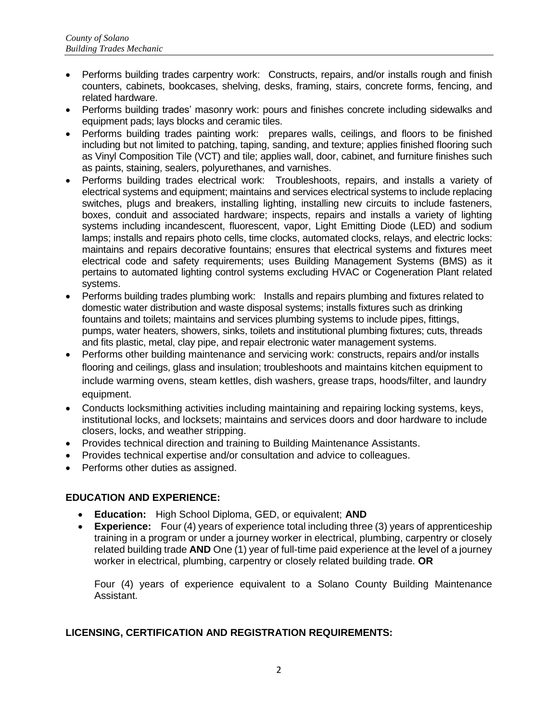- Performs building trades carpentry work: Constructs, repairs, and/or installs rough and finish counters, cabinets, bookcases, shelving, desks, framing, stairs, concrete forms, fencing, and related hardware.
- Performs building trades' masonry work: pours and finishes concrete including sidewalks and equipment pads; lays blocks and ceramic tiles.
- Performs building trades painting work: prepares walls, ceilings, and floors to be finished including but not limited to patching, taping, sanding, and texture; applies finished flooring such as Vinyl Composition Tile (VCT) and tile; applies wall, door, cabinet, and furniture finishes such as paints, staining, sealers, polyurethanes, and varnishes.
- Performs building trades electrical work: Troubleshoots, repairs, and installs a variety of electrical systems and equipment; maintains and services electrical systems to include replacing switches, plugs and breakers, installing lighting, installing new circuits to include fasteners, boxes, conduit and associated hardware; inspects, repairs and installs a variety of lighting systems including incandescent, fluorescent, vapor, Light Emitting Diode (LED) and sodium lamps; installs and repairs photo cells, time clocks, automated clocks, relays, and electric locks: maintains and repairs decorative fountains; ensures that electrical systems and fixtures meet electrical code and safety requirements; uses Building Management Systems (BMS) as it pertains to automated lighting control systems excluding HVAC or Cogeneration Plant related systems.
- Performs building trades plumbing work: Installs and repairs plumbing and fixtures related to domestic water distribution and waste disposal systems; installs fixtures such as drinking fountains and toilets; maintains and services plumbing systems to include pipes, fittings, pumps, water heaters, showers, sinks, toilets and institutional plumbing fixtures; cuts, threads and fits plastic, metal, clay pipe, and repair electronic water management systems.
- Performs other building maintenance and servicing work: constructs, repairs and/or installs flooring and ceilings, glass and insulation; troubleshoots and maintains kitchen equipment to include warming ovens, steam kettles, dish washers, grease traps, hoods/filter, and laundry equipment.
- Conducts locksmithing activities including maintaining and repairing locking systems, keys, institutional locks, and locksets; maintains and services doors and door hardware to include closers, locks, and weather stripping.
- Provides technical direction and training to Building Maintenance Assistants.
- Provides technical expertise and/or consultation and advice to colleagues.
- Performs other duties as assigned.

## **EDUCATION AND EXPERIENCE:**

- **Education:** High School Diploma, GED, or equivalent; **AND**
- **Experience:** Four (4) years of experience total including three (3) years of apprenticeship training in a program or under a journey worker in electrical, plumbing, carpentry or closely related building trade **AND** One (1) year of full-time paid experience at the level of a journey worker in electrical, plumbing, carpentry or closely related building trade. **OR**

Four (4) years of experience equivalent to a Solano County Building Maintenance Assistant.

#### **LICENSING, CERTIFICATION AND REGISTRATION REQUIREMENTS:**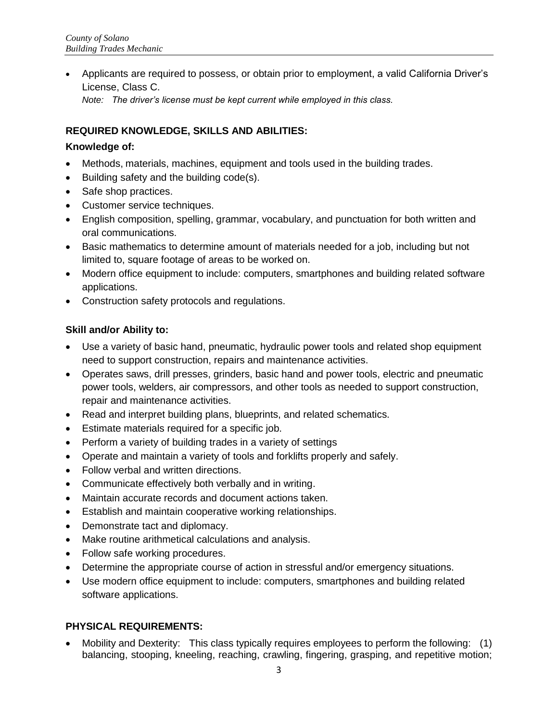Applicants are required to possess, or obtain prior to employment, a valid California Driver's License, Class C. *Note: The driver's license must be kept current while employed in this class.* 

## **REQUIRED KNOWLEDGE, SKILLS AND ABILITIES:**

#### **Knowledge of:**

- Methods, materials, machines, equipment and tools used in the building trades.
- $\bullet$  Building safety and the building code(s).
- Safe shop practices.
- Customer service techniques.
- English composition, spelling, grammar, vocabulary, and punctuation for both written and oral communications.
- Basic mathematics to determine amount of materials needed for a job, including but not limited to, square footage of areas to be worked on.
- Modern office equipment to include: computers, smartphones and building related software applications.
- Construction safety protocols and regulations.

#### **Skill and/or Ability to:**

- Use a variety of basic hand, pneumatic, hydraulic power tools and related shop equipment need to support construction, repairs and maintenance activities.
- Operates saws, drill presses, grinders, basic hand and power tools, electric and pneumatic power tools, welders, air compressors, and other tools as needed to support construction, repair and maintenance activities.
- Read and interpret building plans, blueprints, and related schematics.
- Estimate materials required for a specific job.
- Perform a variety of building trades in a variety of settings
- Operate and maintain a variety of tools and forklifts properly and safely.
- Follow verbal and written directions.
- Communicate effectively both verbally and in writing.
- Maintain accurate records and document actions taken.
- Establish and maintain cooperative working relationships.
- Demonstrate tact and diplomacy.
- Make routine arithmetical calculations and analysis.
- Follow safe working procedures.
- Determine the appropriate course of action in stressful and/or emergency situations.
- Use modern office equipment to include: computers, smartphones and building related software applications.

#### **PHYSICAL REQUIREMENTS:**

 Mobility and Dexterity: This class typically requires employees to perform the following: (1) balancing, stooping, kneeling, reaching, crawling, fingering, grasping, and repetitive motion;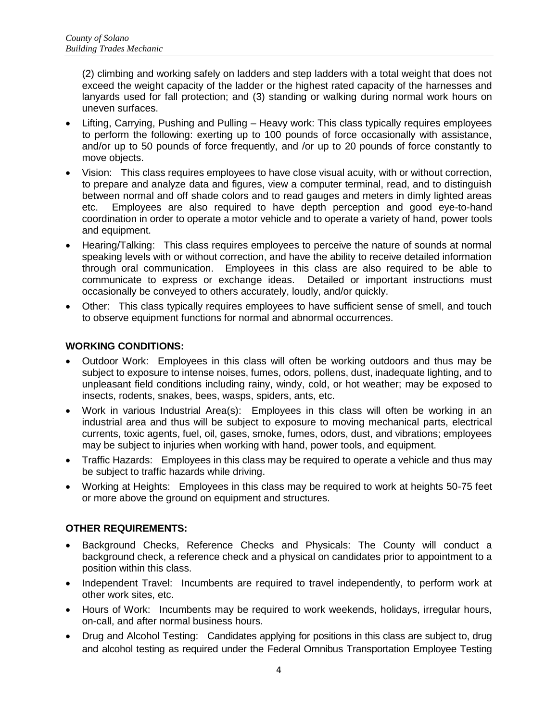(2) climbing and working safely on ladders and step ladders with a total weight that does not exceed the weight capacity of the ladder or the highest rated capacity of the harnesses and lanyards used for fall protection; and (3) standing or walking during normal work hours on uneven surfaces.

- Lifting, Carrying, Pushing and Pulling Heavy work: This class typically requires employees to perform the following: exerting up to 100 pounds of force occasionally with assistance, and/or up to 50 pounds of force frequently, and /or up to 20 pounds of force constantly to move objects.
- Vision: This class requires employees to have close visual acuity, with or without correction, to prepare and analyze data and figures, view a computer terminal, read, and to distinguish between normal and off shade colors and to read gauges and meters in dimly lighted areas etc. Employees are also required to have depth perception and good eye-to-hand coordination in order to operate a motor vehicle and to operate a variety of hand, power tools and equipment.
- Hearing/Talking: This class requires employees to perceive the nature of sounds at normal speaking levels with or without correction, and have the ability to receive detailed information through oral communication. Employees in this class are also required to be able to communicate to express or exchange ideas. Detailed or important instructions must occasionally be conveyed to others accurately, loudly, and/or quickly.
- Other: This class typically requires employees to have sufficient sense of smell, and touch to observe equipment functions for normal and abnormal occurrences.

### **WORKING CONDITIONS:**

- Outdoor Work: Employees in this class will often be working outdoors and thus may be subject to exposure to intense noises, fumes, odors, pollens, dust, inadequate lighting, and to unpleasant field conditions including rainy, windy, cold, or hot weather; may be exposed to insects, rodents, snakes, bees, wasps, spiders, ants, etc.
- Work in various Industrial Area(s): Employees in this class will often be working in an industrial area and thus will be subject to exposure to moving mechanical parts, electrical currents, toxic agents, fuel, oil, gases, smoke, fumes, odors, dust, and vibrations; employees may be subject to injuries when working with hand, power tools, and equipment.
- Traffic Hazards: Employees in this class may be required to operate a vehicle and thus may be subject to traffic hazards while driving.
- Working at Heights: Employees in this class may be required to work at heights 50-75 feet or more above the ground on equipment and structures.

## **OTHER REQUIREMENTS:**

- Background Checks, Reference Checks and Physicals: The County will conduct a background check, a reference check and a physical on candidates prior to appointment to a position within this class.
- Independent Travel: Incumbents are required to travel independently, to perform work at other work sites, etc.
- Hours of Work: Incumbents may be required to work weekends, holidays, irregular hours, on-call, and after normal business hours.
- Drug and Alcohol Testing: Candidates applying for positions in this class are subject to, drug and alcohol testing as required under the Federal Omnibus Transportation Employee Testing